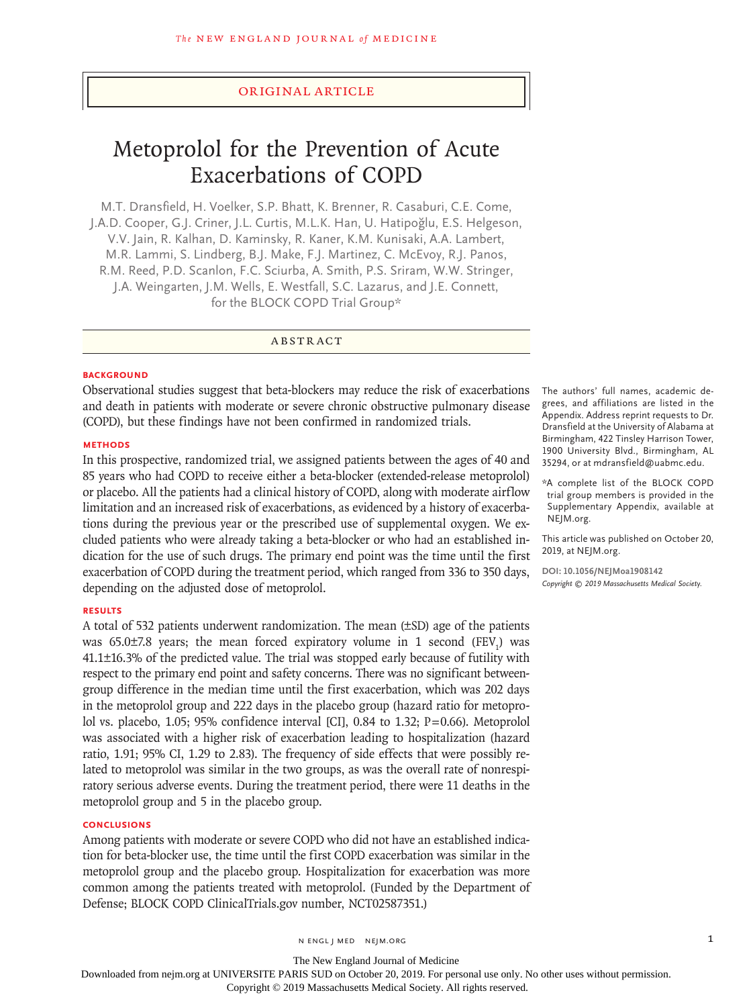# Original Article

# Metoprolol for the Prevention of Acute Exacerbations of COPD

M.T. Dransfield, H. Voelker, S.P. Bhatt, K. Brenner, R. Casaburi, C.E. Come, J.A.D. Cooper, G.J. Criner, J.L. Curtis, M.L.K. Han, U. Hatipoğlu, E.S. Helgeson, V.V. Jain, R. Kalhan, D. Kaminsky, R. Kaner, K.M. Kunisaki, A.A. Lambert, M.R. Lammi, S. Lindberg, B.J. Make, F.J. Martinez, C. McEvoy, R.J. Panos, R.M. Reed, P.D. Scanlon, F.C. Sciurba, A. Smith, P.S. Sriram, W.W. Stringer, J.A. Weingarten, J.M. Wells, E. Westfall, S.C. Lazarus, and J.E. Connett, for the BLOCK COPD Trial Group\*

ABSTRACT

#### **BACKGROUND**

Observational studies suggest that beta-blockers may reduce the risk of exacerbations and death in patients with moderate or severe chronic obstructive pulmonary disease (COPD), but these findings have not been confirmed in randomized trials.

#### **METHODS**

In this prospective, randomized trial, we assigned patients between the ages of 40 and 85 years who had COPD to receive either a beta-blocker (extended-release metoprolol) or placebo. All the patients had a clinical history of COPD, along with moderate airflow limitation and an increased risk of exacerbations, as evidenced by a history of exacerbations during the previous year or the prescribed use of supplemental oxygen. We excluded patients who were already taking a beta-blocker or who had an established indication for the use of such drugs. The primary end point was the time until the first exacerbation of COPD during the treatment period, which ranged from 336 to 350 days, depending on the adjusted dose of metoprolol.

# **RESULTS**

A total of 532 patients underwent randomization. The mean (±SD) age of the patients was  $65.0\pm7.8$  years; the mean forced expiratory volume in 1 second  $(FEV<sub>1</sub>)$  was 41.1±16.3% of the predicted value. The trial was stopped early because of futility with respect to the primary end point and safety concerns. There was no significant betweengroup difference in the median time until the first exacerbation, which was 202 days in the metoprolol group and 222 days in the placebo group (hazard ratio for metoprolol vs. placebo, 1.05; 95% confidence interval [CI], 0.84 to 1.32; P=0.66). Metoprolol was associated with a higher risk of exacerbation leading to hospitalization (hazard ratio, 1.91; 95% CI, 1.29 to 2.83). The frequency of side effects that were possibly related to metoprolol was similar in the two groups, as was the overall rate of nonrespiratory serious adverse events. During the treatment period, there were 11 deaths in the metoprolol group and 5 in the placebo group.

# **CONCLUSIONS**

Among patients with moderate or severe COPD who did not have an established indication for beta-blocker use, the time until the first COPD exacerbation was similar in the metoprolol group and the placebo group. Hospitalization for exacerbation was more common among the patients treated with metoprolol. (Funded by the Department of Defense; BLOCK COPD ClinicalTrials.gov number, NCT02587351.)

The authors' full names, academic degrees, and affiliations are listed in the Appendix. Address reprint requests to Dr. Dransfield at the University of Alabama at Birmingham, 422 Tinsley Harrison Tower, 1900 University Blvd., Birmingham, AL 35294, or at mdransfield@uabmc.edu.

\*A complete list of the BLOCK COPD trial group members is provided in the Supplementary Appendix, available at NEJM.org.

This article was published on October 20, 2019, at NEJM.org.

**DOI: 10.1056/NEJMoa1908142** *Copyright © 2019 Massachusetts Medical Society.*

n engl j med nejm.org 1

The New England Journal of Medicine

Downloaded from nejm.org at UNIVERSITE PARIS SUD on October 20, 2019. For personal use only. No other uses without permission.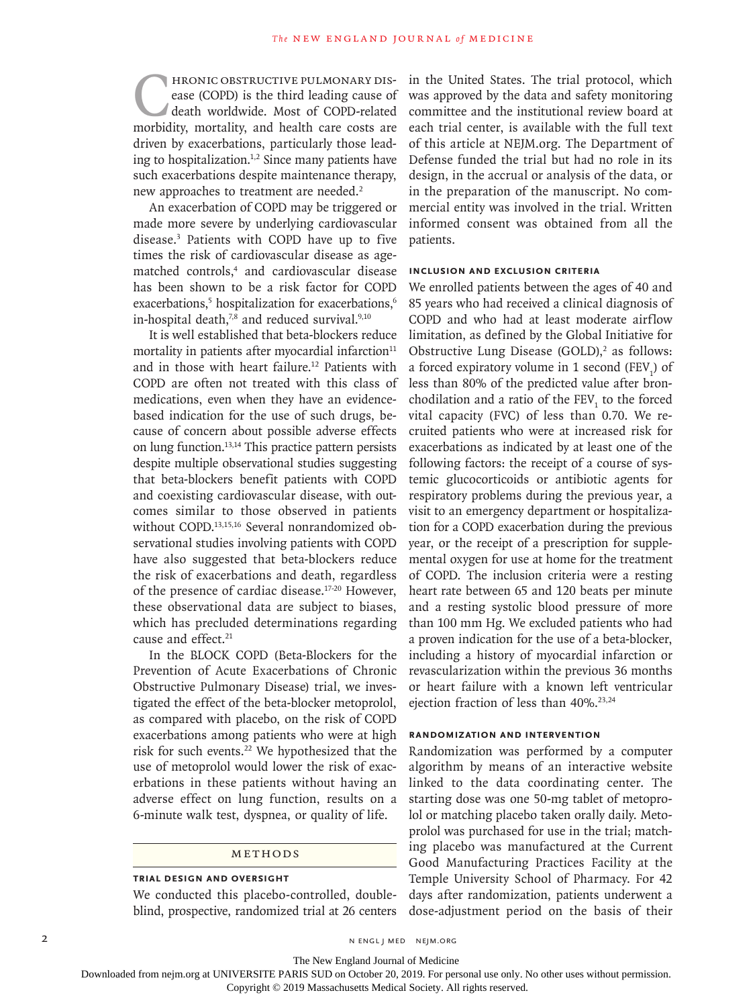FRONIC OBSTRUCTIVE PULMONARY DIS-<br>ease (COPD) is the third leading cause of<br>death worldwide. Most of COPD-related<br>morbidity, mortality, and health care costs are ease (COPD) is the third leading cause of death worldwide. Most of COPD-related morbidity, mortality, and health care costs are driven by exacerbations, particularly those leading to hospitalization.<sup>1,2</sup> Since many patients have such exacerbations despite maintenance therapy, new approaches to treatment are needed.<sup>2</sup>

An exacerbation of COPD may be triggered or made more severe by underlying cardiovascular disease.3 Patients with COPD have up to five times the risk of cardiovascular disease as agematched controls,<sup>4</sup> and cardiovascular disease has been shown to be a risk factor for COPD exacerbations,<sup>5</sup> hospitalization for exacerbations,<sup>6</sup> in-hospital death, $7,8$  and reduced survival. $9,10$ 

It is well established that beta-blockers reduce mortality in patients after myocardial infarction $11$ and in those with heart failure.12 Patients with COPD are often not treated with this class of medications, even when they have an evidencebased indication for the use of such drugs, because of concern about possible adverse effects on lung function.13,14 This practice pattern persists despite multiple observational studies suggesting that beta-blockers benefit patients with COPD and coexisting cardiovascular disease, with outcomes similar to those observed in patients without COPD.13,15,16 Several nonrandomized observational studies involving patients with COPD have also suggested that beta-blockers reduce the risk of exacerbations and death, regardless of the presence of cardiac disease.17-20 However, these observational data are subject to biases, which has precluded determinations regarding cause and effect.<sup>21</sup>

In the BLOCK COPD (Beta-Blockers for the Prevention of Acute Exacerbations of Chronic Obstructive Pulmonary Disease) trial, we investigated the effect of the beta-blocker metoprolol, as compared with placebo, on the risk of COPD exacerbations among patients who were at high risk for such events.<sup>22</sup> We hypothesized that the use of metoprolol would lower the risk of exacerbations in these patients without having an adverse effect on lung function, results on a 6-minute walk test, dyspnea, or quality of life.

### METHODS

### **Trial Design and Oversight**

We conducted this placebo-controlled, doubleblind, prospective, randomized trial at 26 centers in the United States. The trial protocol, which was approved by the data and safety monitoring committee and the institutional review board at each trial center, is available with the full text of this article at NEJM.org. The Department of Defense funded the trial but had no role in its design, in the accrual or analysis of the data, or in the preparation of the manuscript. No commercial entity was involved in the trial. Written informed consent was obtained from all the patients.

# **Inclusion and Exclusion Criteria**

We enrolled patients between the ages of 40 and 85 years who had received a clinical diagnosis of COPD and who had at least moderate airflow limitation, as defined by the Global Initiative for Obstructive Lung Disease  $(GOLD)$ ,<sup>2</sup> as follows: a forced expiratory volume in 1 second  $(FEV<sub>1</sub>)$  of less than 80% of the predicted value after bronchodilation and a ratio of the  $\text{FEV}_1$  to the forced vital capacity (FVC) of less than 0.70. We recruited patients who were at increased risk for exacerbations as indicated by at least one of the following factors: the receipt of a course of systemic glucocorticoids or antibiotic agents for respiratory problems during the previous year, a visit to an emergency department or hospitalization for a COPD exacerbation during the previous year, or the receipt of a prescription for supplemental oxygen for use at home for the treatment of COPD. The inclusion criteria were a resting heart rate between 65 and 120 beats per minute and a resting systolic blood pressure of more than 100 mm Hg. We excluded patients who had a proven indication for the use of a beta-blocker, including a history of myocardial infarction or revascularization within the previous 36 months or heart failure with a known left ventricular ejection fraction of less than 40%.<sup>23,24</sup>

# **Randomization and Intervention**

Randomization was performed by a computer algorithm by means of an interactive website linked to the data coordinating center. The starting dose was one 50-mg tablet of metoprolol or matching placebo taken orally daily. Metoprolol was purchased for use in the trial; matching placebo was manufactured at the Current Good Manufacturing Practices Facility at the Temple University School of Pharmacy. For 42 days after randomization, patients underwent a dose-adjustment period on the basis of their

The New England Journal of Medicine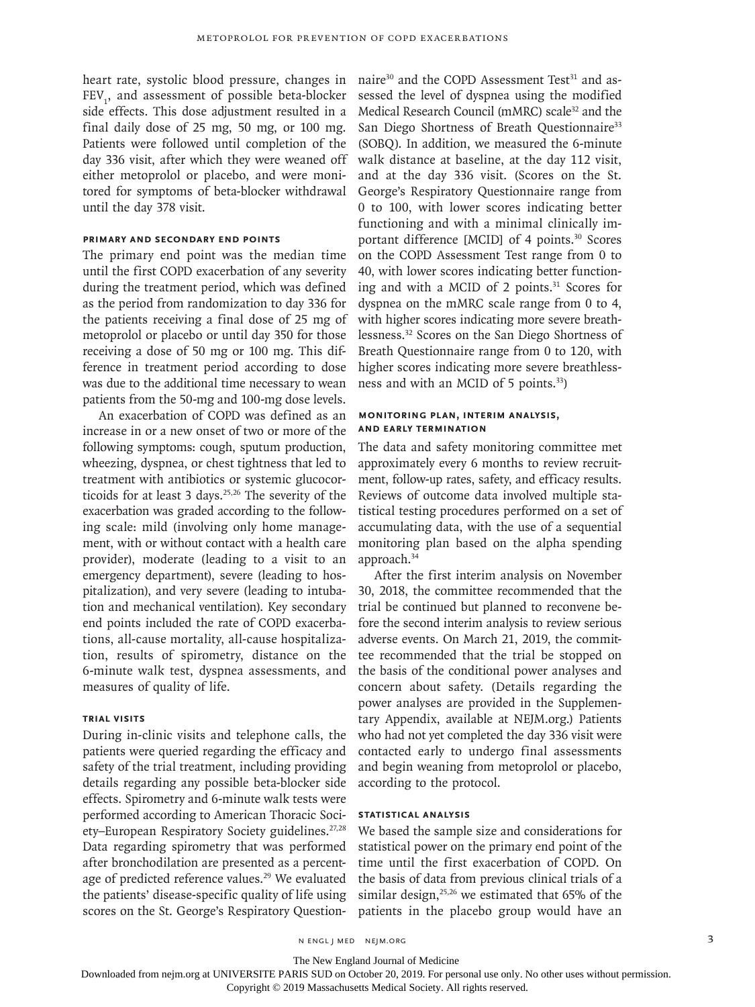heart rate, systolic blood pressure, changes in FEV<sub>1</sub>, and assessment of possible beta-blocker side effects. This dose adjustment resulted in a final daily dose of 25 mg, 50 mg, or 100 mg. Patients were followed until completion of the day 336 visit, after which they were weaned off either metoprolol or placebo, and were monitored for symptoms of beta-blocker withdrawal until the day 378 visit.

# **Primary and Secondary End Points**

The primary end point was the median time until the first COPD exacerbation of any severity during the treatment period, which was defined as the period from randomization to day 336 for the patients receiving a final dose of 25 mg of metoprolol or placebo or until day 350 for those receiving a dose of 50 mg or 100 mg. This difference in treatment period according to dose was due to the additional time necessary to wean patients from the 50-mg and 100-mg dose levels.

An exacerbation of COPD was defined as an increase in or a new onset of two or more of the following symptoms: cough, sputum production, wheezing, dyspnea, or chest tightness that led to treatment with antibiotics or systemic glucocorticoids for at least 3 days.<sup>25,26</sup> The severity of the exacerbation was graded according to the following scale: mild (involving only home management, with or without contact with a health care provider), moderate (leading to a visit to an emergency department), severe (leading to hospitalization), and very severe (leading to intubation and mechanical ventilation). Key secondary end points included the rate of COPD exacerbations, all-cause mortality, all-cause hospitalization, results of spirometry, distance on the 6-minute walk test, dyspnea assessments, and measures of quality of life.

# **Trial Visits**

During in-clinic visits and telephone calls, the patients were queried regarding the efficacy and safety of the trial treatment, including providing details regarding any possible beta-blocker side effects. Spirometry and 6-minute walk tests were performed according to American Thoracic Society-European Respiratory Society guidelines.<sup>27,28</sup> Data regarding spirometry that was performed after bronchodilation are presented as a percentage of predicted reference values.<sup>29</sup> We evaluated the patients' disease-specific quality of life using scores on the St. George's Respiratory Question-

naire<sup>30</sup> and the COPD Assessment Test<sup>31</sup> and assessed the level of dyspnea using the modified Medical Research Council (mMRC) scale<sup>32</sup> and the San Diego Shortness of Breath Questionnaire<sup>33</sup> (SOBQ). In addition, we measured the 6-minute walk distance at baseline, at the day 112 visit, and at the day 336 visit. (Scores on the St. George's Respiratory Questionnaire range from 0 to 100, with lower scores indicating better functioning and with a minimal clinically important difference [MCID] of 4 points.<sup>30</sup> Scores on the COPD Assessment Test range from 0 to 40, with lower scores indicating better functioning and with a MCID of 2 points.<sup>31</sup> Scores for dyspnea on the mMRC scale range from 0 to 4, with higher scores indicating more severe breathlessness.32 Scores on the San Diego Shortness of Breath Questionnaire range from 0 to 120, with higher scores indicating more severe breathlessness and with an MCID of 5 points.<sup>33</sup>)

# **Monitoring Plan, Interim Analysis, and Early Termination**

The data and safety monitoring committee met approximately every 6 months to review recruitment, follow-up rates, safety, and efficacy results. Reviews of outcome data involved multiple statistical testing procedures performed on a set of accumulating data, with the use of a sequential monitoring plan based on the alpha spending approach.34

After the first interim analysis on November 30, 2018, the committee recommended that the trial be continued but planned to reconvene before the second interim analysis to review serious adverse events. On March 21, 2019, the committee recommended that the trial be stopped on the basis of the conditional power analyses and concern about safety. (Details regarding the power analyses are provided in the Supplementary Appendix, available at NEJM.org.) Patients who had not yet completed the day 336 visit were contacted early to undergo final assessments and begin weaning from metoprolol or placebo, according to the protocol.

# **Statistical Analysis**

We based the sample size and considerations for statistical power on the primary end point of the time until the first exacerbation of COPD. On the basis of data from previous clinical trials of a similar design, $25,26$  we estimated that 65% of the patients in the placebo group would have an

n engl j med nejm.org 3

The New England Journal of Medicine

Downloaded from nejm.org at UNIVERSITE PARIS SUD on October 20, 2019. For personal use only. No other uses without permission.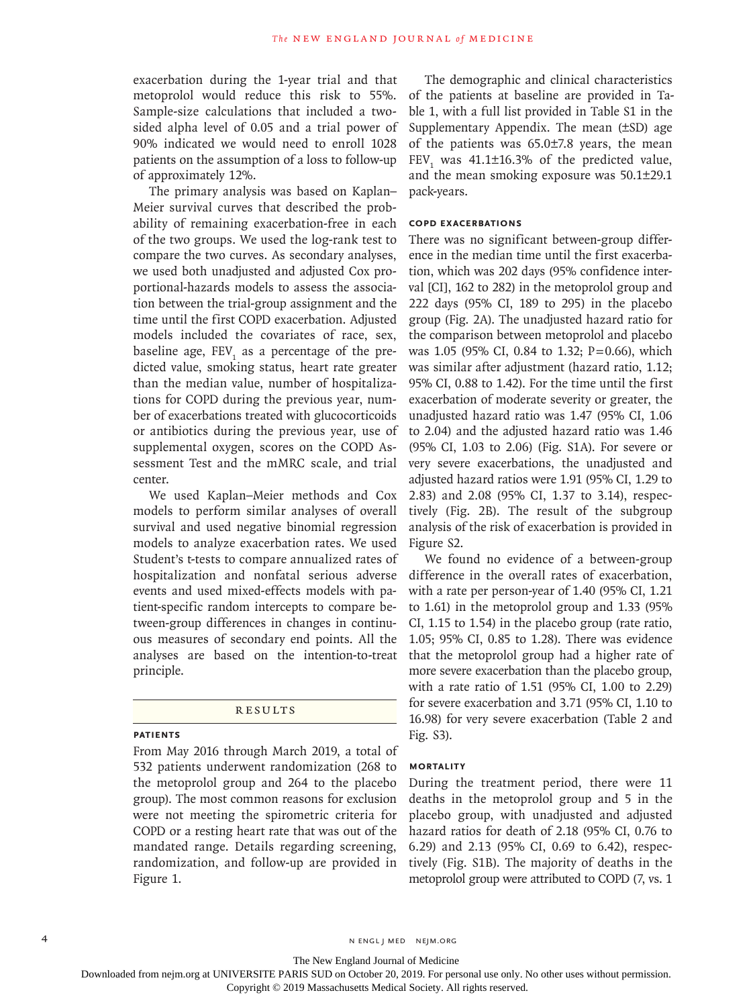exacerbation during the 1-year trial and that metoprolol would reduce this risk to 55%. Sample-size calculations that included a twosided alpha level of 0.05 and a trial power of 90% indicated we would need to enroll 1028 patients on the assumption of a loss to follow-up of approximately 12%.

The primary analysis was based on Kaplan– Meier survival curves that described the probability of remaining exacerbation-free in each of the two groups. We used the log-rank test to compare the two curves. As secondary analyses, we used both unadjusted and adjusted Cox proportional-hazards models to assess the association between the trial-group assignment and the time until the first COPD exacerbation. Adjusted models included the covariates of race, sex, baseline age,  $FEV<sub>1</sub>$  as a percentage of the predicted value, smoking status, heart rate greater than the median value, number of hospitalizations for COPD during the previous year, number of exacerbations treated with glucocorticoids or antibiotics during the previous year, use of supplemental oxygen, scores on the COPD Assessment Test and the mMRC scale, and trial center.

We used Kaplan–Meier methods and Cox models to perform similar analyses of overall survival and used negative binomial regression models to analyze exacerbation rates. We used Student's t-tests to compare annualized rates of hospitalization and nonfatal serious adverse events and used mixed-effects models with patient-specific random intercepts to compare between-group differences in changes in continuous measures of secondary end points. All the analyses are based on the intention-to-treat principle.

#### Results

# **Patients**

From May 2016 through March 2019, a total of 532 patients underwent randomization (268 to the metoprolol group and 264 to the placebo group). The most common reasons for exclusion were not meeting the spirometric criteria for COPD or a resting heart rate that was out of the mandated range. Details regarding screening, randomization, and follow-up are provided in Figure 1.

The demographic and clinical characteristics of the patients at baseline are provided in Table 1, with a full list provided in Table S1 in the Supplementary Appendix. The mean (±SD) age of the patients was 65.0±7.8 years, the mean  $FEV<sub>1</sub>$  was 41.1±16.3% of the predicted value, and the mean smoking exposure was 50.1±29.1 pack-years.

# **COPD Exacerbations**

There was no significant between-group difference in the median time until the first exacerbation, which was 202 days (95% confidence interval [CI], 162 to 282) in the metoprolol group and 222 days (95% CI, 189 to 295) in the placebo group (Fig. 2A). The unadjusted hazard ratio for the comparison between metoprolol and placebo was 1.05 (95% CI, 0.84 to 1.32; P=0.66), which was similar after adjustment (hazard ratio, 1.12; 95% CI, 0.88 to 1.42). For the time until the first exacerbation of moderate severity or greater, the unadjusted hazard ratio was 1.47 (95% CI, 1.06 to 2.04) and the adjusted hazard ratio was 1.46 (95% CI, 1.03 to 2.06) (Fig. S1A). For severe or very severe exacerbations, the unadjusted and adjusted hazard ratios were 1.91 (95% CI, 1.29 to 2.83) and 2.08 (95% CI, 1.37 to 3.14), respectively (Fig. 2B). The result of the subgroup analysis of the risk of exacerbation is provided in Figure S2.

We found no evidence of a between-group difference in the overall rates of exacerbation, with a rate per person-year of 1.40 (95% CI, 1.21 to 1.61) in the metoprolol group and 1.33 (95% CI, 1.15 to 1.54) in the placebo group (rate ratio, 1.05; 95% CI, 0.85 to 1.28). There was evidence that the metoprolol group had a higher rate of more severe exacerbation than the placebo group, with a rate ratio of 1.51 (95% CI, 1.00 to 2.29) for severe exacerbation and 3.71 (95% CI, 1.10 to 16.98) for very severe exacerbation (Table 2 and Fig. S3).

# **Mortality**

During the treatment period, there were 11 deaths in the metoprolol group and 5 in the placebo group, with unadjusted and adjusted hazard ratios for death of 2.18 (95% CI, 0.76 to 6.29) and 2.13 (95% CI, 0.69 to 6.42), respectively (Fig. S1B). The majority of deaths in the metoprolol group were attributed to COPD (7, vs. 1

4 n engl j med nejm.org nejm.org neighborhood in the negative media in the negative media in the negative media in the negative media in the negative media in the negative media in the negative media in the negative media

The New England Journal of Medicine

Downloaded from nejm.org at UNIVERSITE PARIS SUD on October 20, 2019. For personal use only. No other uses without permission.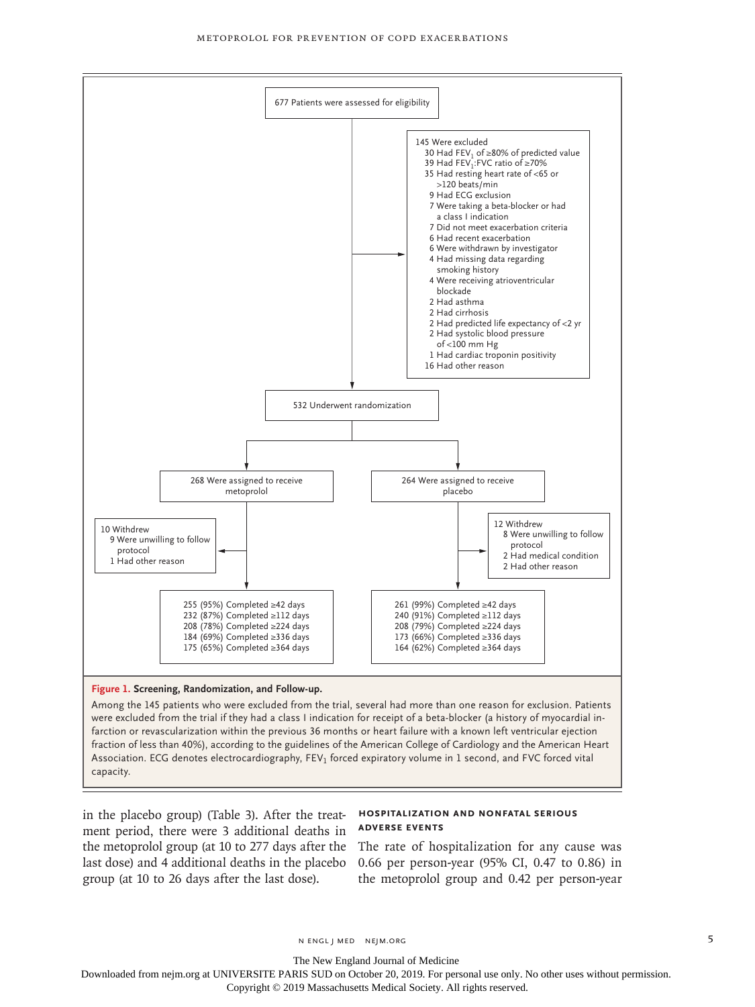

# **Figure 1. Screening, Randomization, and Follow-up.**

Among the 145 patients who were excluded from the trial, several had more than one reason for exclusion. Patients were excluded from the trial if they had a class I indication for receipt of a beta-blocker (a history of myocardial infarction or revascularization within the previous 36 months or heart failure with a known left ventricular ejection fraction of less than 40%), according to the guidelines of the American College of Cardiology and the American Heart Association. ECG denotes electrocardiography, FEV<sub>1</sub> forced expiratory volume in 1 second, and FVC forced vital capacity.

in the placebo group) (Table 3). After the treat-**Hospitalization and Nonfatal Serious**  ment period, there were 3 additional deaths in the metoprolol group (at 10 to 277 days after the The rate of hospitalization for any cause was last dose) and 4 additional deaths in the placebo group (at 10 to 26 days after the last dose).

# **Adverse Events**

0.66 per person-year (95% CI, 0.47 to 0.86) in the metoprolol group and 0.42 per person-year

The New England Journal of Medicine

Downloaded from nejm.org at UNIVERSITE PARIS SUD on October 20, 2019. For personal use only. No other uses without permission.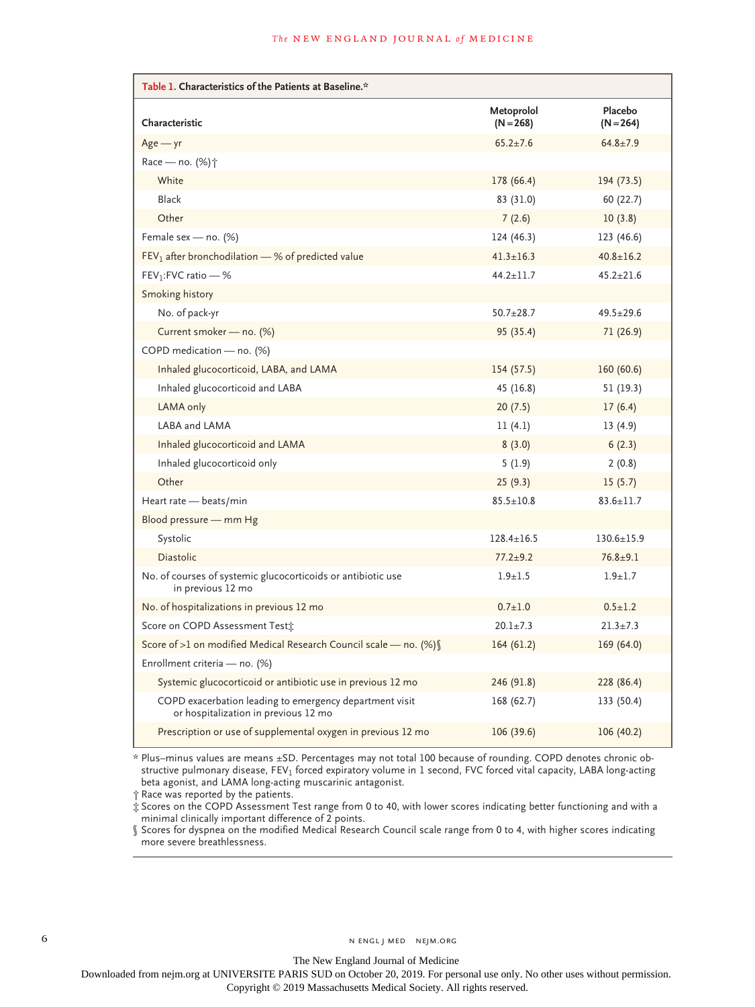| Table 1. Characteristics of the Patients at Baseline.*                                          |                           |                        |  |  |  |  |
|-------------------------------------------------------------------------------------------------|---------------------------|------------------------|--|--|--|--|
| Characteristic                                                                                  | Metoprolol<br>$(N = 268)$ | Placebo<br>$(N = 264)$ |  |  |  |  |
| $Age - yr$                                                                                      | $65.2 \pm 7.6$            | $64.8 \pm 7.9$         |  |  |  |  |
| Race - no. (%) <sup>+</sup>                                                                     |                           |                        |  |  |  |  |
| White                                                                                           | 178 (66.4)                | 194 (73.5)             |  |  |  |  |
| <b>Black</b>                                                                                    | 83 (31.0)                 | 60(22.7)               |  |  |  |  |
| Other                                                                                           | 7(2.6)                    | 10(3.8)                |  |  |  |  |
| Female sex - no. (%)                                                                            | 124 (46.3)                | 123 (46.6)             |  |  |  |  |
| $FEV1$ after bronchodilation - % of predicted value                                             | $41.3 \pm 16.3$           | $40.8 \pm 16.2$        |  |  |  |  |
| $FEV_1: FVC$ ratio - %                                                                          | $44.2 + 11.7$             | $45.2 + 21.6$          |  |  |  |  |
| Smoking history                                                                                 |                           |                        |  |  |  |  |
| No. of pack-yr                                                                                  | $50.7 + 28.7$             | $49.5 \pm 29.6$        |  |  |  |  |
| Current smoker - no. (%)                                                                        | 95 (35.4)                 | 71 (26.9)              |  |  |  |  |
| COPD medication - no. (%)                                                                       |                           |                        |  |  |  |  |
| Inhaled glucocorticoid, LABA, and LAMA                                                          | 154(57.5)                 | 160(60.6)              |  |  |  |  |
| Inhaled glucocorticoid and LABA                                                                 | 45 (16.8)                 | 51 (19.3)              |  |  |  |  |
| LAMA only                                                                                       | 20(7.5)                   | 17(6.4)                |  |  |  |  |
| LABA and LAMA                                                                                   | 11(4.1)                   | 13(4.9)                |  |  |  |  |
| Inhaled glucocorticoid and LAMA                                                                 | 8(3.0)                    | 6(2.3)                 |  |  |  |  |
| Inhaled glucocorticoid only                                                                     | 5(1.9)                    | 2(0.8)                 |  |  |  |  |
| Other                                                                                           | 25(9.3)                   | 15(5.7)                |  |  |  |  |
| Heart rate - beats/min                                                                          | $85.5 \pm 10.8$           | $83.6 \pm 11.7$        |  |  |  |  |
| Blood pressure - mm Hg                                                                          |                           |                        |  |  |  |  |
| Systolic                                                                                        | $128.4 \pm 16.5$          | $130.6 \pm 15.9$       |  |  |  |  |
| <b>Diastolic</b>                                                                                | $77.2 + 9.2$              | $76.8 + 9.1$           |  |  |  |  |
| No. of courses of systemic glucocorticoids or antibiotic use<br>in previous 12 mo               | $1.9 + 1.5$               | $1.9 + 1.7$            |  |  |  |  |
| No. of hospitalizations in previous 12 mo                                                       | $0.7 + 1.0$               | $0.5 \pm 1.2$          |  |  |  |  |
| Score on COPD Assessment Test:                                                                  | $20.1 \pm 7.3$            | $21.3 \pm 7.3$         |  |  |  |  |
| Score of >1 on modified Medical Research Council scale - no. (%) [                              | 164(61.2)                 | 169(64.0)              |  |  |  |  |
| Enrollment criteria — no. (%)                                                                   |                           |                        |  |  |  |  |
| Systemic glucocorticoid or antibiotic use in previous 12 mo                                     | 246 (91.8)                | 228 (86.4)             |  |  |  |  |
| COPD exacerbation leading to emergency department visit<br>or hospitalization in previous 12 mo | 168 (62.7)                | 133 (50.4)             |  |  |  |  |
| Prescription or use of supplemental oxygen in previous 12 mo                                    | 106(39.6)                 | 106(40.2)              |  |  |  |  |

\* Plus–minus values are means ±SD. Percentages may not total 100 because of rounding. COPD denotes chronic obstructive pulmonary disease, FEV<sub>1</sub> forced expiratory volume in 1 second, FVC forced vital capacity, LABA long-acting beta agonist, and LAMA long-acting muscarinic antagonist.

† Race was reported by the patients.

‡ Scores on the COPD Assessment Test range from 0 to 40, with lower scores indicating better functioning and with a minimal clinically important difference of 2 points.

§ Scores for dyspnea on the modified Medical Research Council scale range from 0 to 4, with higher scores indicating more severe breathlessness.

The New England Journal of Medicine

Downloaded from nejm.org at UNIVERSITE PARIS SUD on October 20, 2019. For personal use only. No other uses without permission.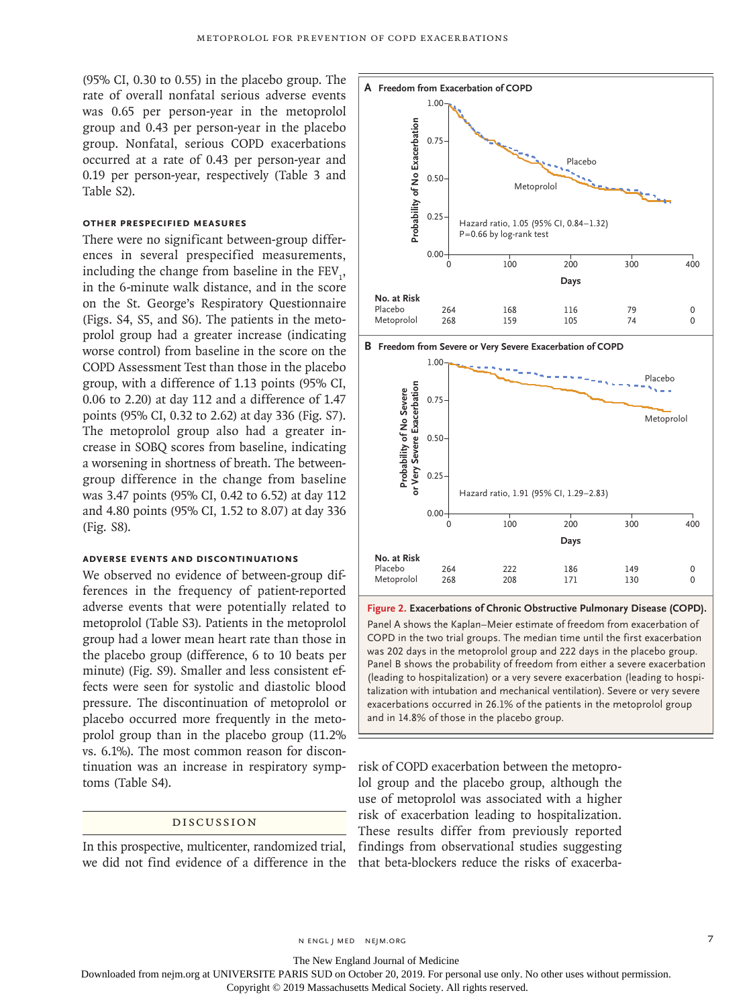(95% CI, 0.30 to 0.55) in the placebo group. The rate of overall nonfatal serious adverse events was 0.65 per person-year in the metoprolol group and 0.43 per person-year in the placebo group. Nonfatal, serious COPD exacerbations occurred at a rate of 0.43 per person-year and 0.19 per person-year, respectively (Table 3 and Table S2).

# **Other Prespecified Measures**

There were no significant between-group differences in several prespecified measurements, including the change from baseline in the  $FEV_1$ , in the 6-minute walk distance, and in the score on the St. George's Respiratory Questionnaire (Figs. S4, S5, and S6). The patients in the metoprolol group had a greater increase (indicating worse control) from baseline in the score on the COPD Assessment Test than those in the placebo group, with a difference of 1.13 points (95% CI, 0.06 to 2.20) at day 112 and a difference of 1.47 points (95% CI, 0.32 to 2.62) at day 336 (Fig. S7). The metoprolol group also had a greater increase in SOBQ scores from baseline, indicating a worsening in shortness of breath. The betweengroup difference in the change from baseline was 3.47 points (95% CI, 0.42 to 6.52) at day 112 and 4.80 points (95% CI, 1.52 to 8.07) at day 336 (Fig. S8).

# **Adverse Events and Discontinuations**

We observed no evidence of between-group differences in the frequency of patient-reported adverse events that were potentially related to metoprolol (Table S3). Patients in the metoprolol group had a lower mean heart rate than those in the placebo group (difference, 6 to 10 beats per minute) (Fig. S9). Smaller and less consistent effects were seen for systolic and diastolic blood pressure. The discontinuation of metoprolol or placebo occurred more frequently in the metoprolol group than in the placebo group (11.2% vs. 6.1%). The most common reason for discontinuation was an increase in respiratory symptoms (Table S4).

# Discussion

In this prospective, multicenter, randomized trial, we did not find evidence of a difference in the that beta-blockers reduce the risks of exacerba-



**B Freedom from Severe or Very Severe Exacerbation of COPD**



**Figure 2. Exacerbations of Chronic Obstructive Pulmonary Disease (COPD).** Panel A shows the Kaplan–Meier estimate of freedom from exacerbation of COPD in the two trial groups. The median time until the first exacerbation was 202 days in the metoprolol group and 222 days in the placebo group. Panel B shows the probability of freedom from either a severe exacerbation (leading to hospitalization) or a very severe exacerbation (leading to hospitalization with intubation and mechanical ventilation). Severe or very severe exacerbations occurred in 26.1% of the patients in the metoprolol group

risk of COPD exacerbation between the metoprolol group and the placebo group, although the use of metoprolol was associated with a higher risk of exacerbation leading to hospitalization. These results differ from previously reported findings from observational studies suggesting

n engl j med nejm.org 7

The New England Journal of Medicine

Downloaded from nejm.org at UNIVERSITE PARIS SUD on October 20, 2019. For personal use only. No other uses without permission.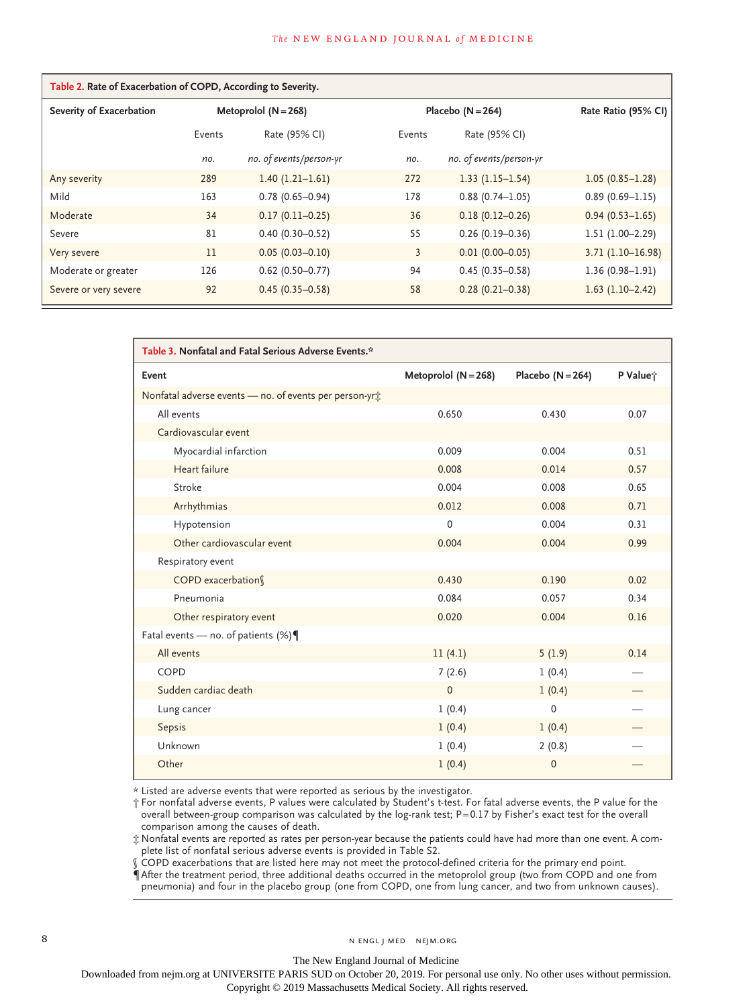#### **The NEW ENGLAND JOURNAL of MEDICINE**

| Table 2. Rate of Exacerbation of COPD, According to Severity. |                      |                         |        |                         |                     |  |  |  |
|---------------------------------------------------------------|----------------------|-------------------------|--------|-------------------------|---------------------|--|--|--|
| Severity of Exacerbation                                      | Metoprolol (N = 268) |                         |        | Placebo $(N = 264)$     | Rate Ratio (95% CI) |  |  |  |
|                                                               | Events               | Rate (95% CI)           | Events | Rate (95% CI)           |                     |  |  |  |
|                                                               | no.                  | no. of events/person-yr | no.    | no. of events/person-yr |                     |  |  |  |
| Any severity                                                  | 289                  | $1.40(1.21-1.61)$       | 272    | $1.33(1.15-1.54)$       | $1.05(0.85 - 1.28)$ |  |  |  |
| Mild                                                          | 163                  | $0.78(0.65 - 0.94)$     | 178    | $0.88(0.74 - 1.05)$     | $0.89(0.69 - 1.15)$ |  |  |  |
| Moderate                                                      | 34                   | $0.17(0.11-0.25)$       | 36     | $0.18(0.12 - 0.26)$     | $0.94(0.53 - 1.65)$ |  |  |  |
| Severe                                                        | 81                   | $0.40(0.30 - 0.52)$     | 55     | $0.26(0.19 - 0.36)$     | $1.51(1.00-2.29)$   |  |  |  |
| Very severe                                                   | 11                   | $0.05(0.03 - 0.10)$     | 3      | $0.01(0.00 - 0.05)$     | $3.71(1.10-16.98)$  |  |  |  |
| Moderate or greater                                           | 126                  | $0.62$ (0.50-0.77)      | 94     | $0.45(0.35 - 0.58)$     | $1.36(0.98 - 1.91)$ |  |  |  |
| Severe or very severe                                         | 92                   | $0.45(0.35 - 0.58)$     | 58     | $0.28(0.21 - 0.38)$     | $1.63$ (1.10-2.42)  |  |  |  |

| Table 3. Nonfatal and Fatal Serious Adverse Events.*    |                      |                     |          |  |  |  |
|---------------------------------------------------------|----------------------|---------------------|----------|--|--|--|
| Event                                                   | Metoprolol (N = 268) | Placebo $(N = 264)$ | P Value; |  |  |  |
| Nonfatal adverse events - no. of events per person-yri: |                      |                     |          |  |  |  |
| All events                                              | 0.650                | 0.430               | 0.07     |  |  |  |
| Cardiovascular event                                    |                      |                     |          |  |  |  |
| Myocardial infarction                                   | 0.009                | 0.004               | 0.51     |  |  |  |
| Heart failure                                           | 0.008                | 0.014               | 0.57     |  |  |  |
| Stroke                                                  | 0.004                | 0.008               | 0.65     |  |  |  |
| Arrhythmias                                             | 0.012                | 0.008               | 0.71     |  |  |  |
| Hypotension                                             | 0                    | 0.004               | 0.31     |  |  |  |
| Other cardiovascular event                              | 0.004                | 0.004               | 0.99     |  |  |  |
| Respiratory event                                       |                      |                     |          |  |  |  |
| COPD exacerbation                                       | 0.430                | 0.190               | 0.02     |  |  |  |
| Pneumonia                                               | 0.084                | 0.057               | 0.34     |  |  |  |
| Other respiratory event                                 | 0.020                | 0.004               | 0.16     |  |  |  |
| Fatal events - no. of patients $(\%) \P$                |                      |                     |          |  |  |  |
| All events                                              | 11(4.1)              | 5(1.9)              | 0.14     |  |  |  |
| COPD                                                    | 7(2.6)               | 1(0.4)              |          |  |  |  |
| Sudden cardiac death                                    | 0                    | 1(0.4)              |          |  |  |  |
| Lung cancer                                             | 1(0.4)               | $\mathbf 0$         |          |  |  |  |
| Sepsis                                                  | 1(0.4)               | 1(0.4)              |          |  |  |  |
| Unknown                                                 | 1(0.4)               | 2(0.8)              |          |  |  |  |
| Other                                                   | 1(0.4)               | $\mathbf{0}$        |          |  |  |  |

\* Listed are adverse events that were reported as serious by the investigator.

† For nonfatal adverse events, P values were calculated by Student's t-test. For fatal adverse events, the P value for the overall between-group comparison was calculated by the log-rank test; P=0.17 by Fisher's exact test for the overall comparison among the causes of death.

‡ Nonfatal events are reported as rates per person-year because the patients could have had more than one event. A complete list of nonfatal serious adverse events is provided in Table S2.

§ COPD exacerbations that are listed here may not meet the protocol-defined criteria for the primary end point.

¶ After the treatment period, three additional deaths occurred in the metoprolol group (two from COPD and one from pneumonia) and four in the placebo group (one from COPD, one from lung cancer, and two from unknown causes).

The New England Journal of Medicine

Downloaded from nejm.org at UNIVERSITE PARIS SUD on October 20, 2019. For personal use only. No other uses without permission.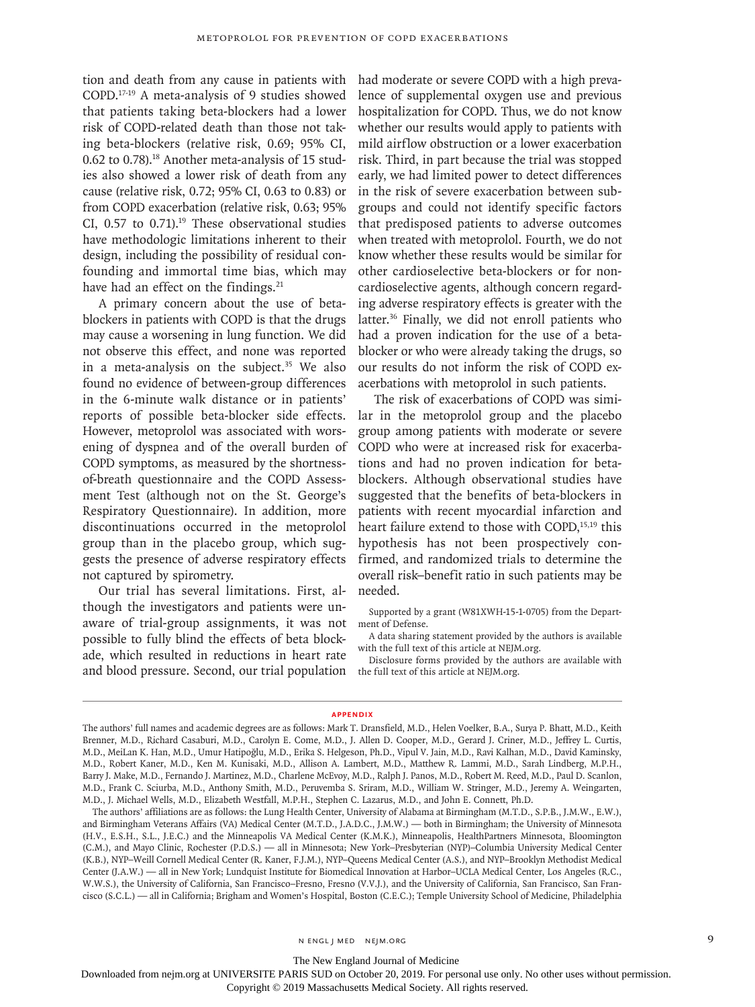tion and death from any cause in patients with COPD.17-19 A meta-analysis of 9 studies showed that patients taking beta-blockers had a lower risk of COPD-related death than those not taking beta-blockers (relative risk, 0.69; 95% CI, 0.62 to 0.78).18 Another meta-analysis of 15 studies also showed a lower risk of death from any cause (relative risk, 0.72; 95% CI, 0.63 to 0.83) or from COPD exacerbation (relative risk, 0.63; 95% CI,  $0.57$  to  $0.71$ ).<sup>19</sup> These observational studies have methodologic limitations inherent to their design, including the possibility of residual confounding and immortal time bias, which may have had an effect on the findings.<sup>21</sup>

A primary concern about the use of betablockers in patients with COPD is that the drugs may cause a worsening in lung function. We did not observe this effect, and none was reported in a meta-analysis on the subject. $35$  We also found no evidence of between-group differences in the 6-minute walk distance or in patients' reports of possible beta-blocker side effects. However, metoprolol was associated with worsening of dyspnea and of the overall burden of COPD symptoms, as measured by the shortnessof-breath questionnaire and the COPD Assessment Test (although not on the St. George's Respiratory Questionnaire). In addition, more discontinuations occurred in the metoprolol group than in the placebo group, which suggests the presence of adverse respiratory effects not captured by spirometry.

Our trial has several limitations. First, although the investigators and patients were unaware of trial-group assignments, it was not possible to fully blind the effects of beta blockade, which resulted in reductions in heart rate and blood pressure. Second, our trial population

had moderate or severe COPD with a high prevalence of supplemental oxygen use and previous hospitalization for COPD. Thus, we do not know whether our results would apply to patients with mild airflow obstruction or a lower exacerbation risk. Third, in part because the trial was stopped early, we had limited power to detect differences in the risk of severe exacerbation between subgroups and could not identify specific factors that predisposed patients to adverse outcomes when treated with metoprolol. Fourth, we do not know whether these results would be similar for other cardioselective beta-blockers or for noncardioselective agents, although concern regarding adverse respiratory effects is greater with the latter.<sup>36</sup> Finally, we did not enroll patients who had a proven indication for the use of a betablocker or who were already taking the drugs, so our results do not inform the risk of COPD exacerbations with metoprolol in such patients.

The risk of exacerbations of COPD was similar in the metoprolol group and the placebo group among patients with moderate or severe COPD who were at increased risk for exacerbations and had no proven indication for betablockers. Although observational studies have suggested that the benefits of beta-blockers in patients with recent myocardial infarction and heart failure extend to those with COPD,<sup>15,19</sup> this hypothesis has not been prospectively confirmed, and randomized trials to determine the overall risk–benefit ratio in such patients may be needed.

Supported by a grant (W81XWH-15-1-0705) from the Department of Defense.

A data sharing statement provided by the authors is available with the full text of this article at NEJM.org.

Disclosure forms provided by the authors are available with the full text of this article at NEJM.org.

#### **Appendix**

The New England Journal of Medicine

Downloaded from nejm.org at UNIVERSITE PARIS SUD on October 20, 2019. For personal use only. No other uses without permission.

The authors' full names and academic degrees are as follows: Mark T. Dransfield, M.D., Helen Voelker, B.A., Surya P. Bhatt, M.D., Keith Brenner, M.D., Richard Casaburi, M.D., Carolyn E. Come, M.D., J. Allen D. Cooper, M.D., Gerard J. Criner, M.D., Jeffrey L. Curtis, M.D., MeiLan K. Han, M.D., Umur Hatipoğlu, M.D., Erika S. Helgeson, Ph.D., Vipul V. Jain, M.D., Ravi Kalhan, M.D., David Kaminsky, M.D., Robert Kaner, M.D., Ken M. Kunisaki, M.D., Allison A. Lambert, M.D., Matthew R. Lammi, M.D., Sarah Lindberg, M.P.H., Barry J. Make, M.D., Fernando J. Martinez, M.D., Charlene McEvoy, M.D., Ralph J. Panos, M.D., Robert M. Reed, M.D., Paul D. Scanlon, M.D., Frank C. Sciurba, M.D., Anthony Smith, M.D., Peruvemba S. Sriram, M.D., William W. Stringer, M.D., Jeremy A. Weingarten, M.D., J. Michael Wells, M.D., Elizabeth Westfall, M.P.H., Stephen C. Lazarus, M.D., and John E. Connett, Ph.D.

The authors' affiliations are as follows: the Lung Health Center, University of Alabama at Birmingham (M.T.D., S.P.B., J.M.W., E.W.), and Birmingham Veterans Affairs (VA) Medical Center (M.T.D., J.A.D.C., J.M.W.) — both in Birmingham; the University of Minnesota (H.V., E.S.H., S.L., J.E.C.) and the Minneapolis VA Medical Center (K.M.K.), Minneapolis, HealthPartners Minnesota, Bloomington (C.M.), and Mayo Clinic, Rochester (P.D.S.) — all in Minnesota; New York–Presbyterian (NYP)–Columbia University Medical Center (K.B.), NYP–Weill Cornell Medical Center (R. Kaner, F.J.M.), NYP–Queens Medical Center (A.S.), and NYP–Brooklyn Methodist Medical Center (J.A.W.) — all in New York; Lundquist Institute for Biomedical Innovation at Harbor–UCLA Medical Center, Los Angeles (R.C., W.W.S.), the University of California, San Francisco–Fresno, Fresno (V.V.J.), and the University of California, San Francisco, San Francisco (S.C.L.) — all in California; Brigham and Women's Hospital, Boston (C.E.C.); Temple University School of Medicine, Philadelphia